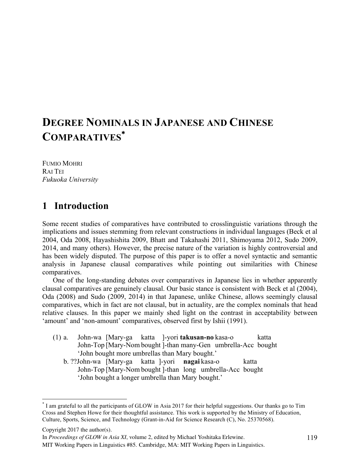# **DEGREE NOMINALS IN JAPANESE AND CHINESE COMPARATIVES**\*

FUMIO MOHRI RAI TEI *Fukuoka University* 

## **1** Introduction

Some recent studies of comparatives have contributed to crosslinguistic variations through the implications and issues stemming from relevant constructions in individual languages (Beck et al 2004, Oda 2008, Hayashishita 2009, Bhatt and Takahashi 2011, Shimoyama 2012, Sudo 2009, 2014, and many others). However, the precise nature of the variation is highly controversial and has been widely disputed. The purpose of this paper is to offer a novel syntactic and semantic analysis in Japanese clausal comparatives while pointing out similarities with Chinese comparatives.

One of the long-standing debates over comparatives in Japanese lies in whether apparently clausal comparatives are genuinely clausal. Our basic stance is consistent with Beck et al (2004), Oda (2008) and Sudo (2009, 2014) in that Japanese, unlike Chinese, allows seemingly clausal comparatives, which in fact are not clausal, but in actuality, are the complex nominals that head relative clauses. In this paper we mainly shed light on the contrast in acceptability between 'amount' and 'non-amount' comparatives, observed first by Ishii (1991).

- (1) a. John-wa [Mary-ga katta ]-yori **takusan-no** kasa-o katta John-Top [Mary-Nom bought ]-than many-Gen umbrella-Acc bought 'John bought more umbrellas than Mary bought.'
	- b. ??John-wa [Mary-ga katta ]-yori **nagai** kasa-o katta John-Top [Mary-Nom bought ]-than long umbrella-Acc bought 'John bought a longer umbrella than Mary bought.'

Copyright 2017 the author(s).

In *Proceedings of GLOW in Asia XI*, volume 2, edited by Michael Yoshitaka Erlewine.

MIT Working Papers in Linguistics #85. Cambridge, MA: MIT Working Papers in Linguistics.

 <sup>\*</sup> I am grateful to all the participants of GLOW in Asia <sup>2017</sup> for their helpful suggestions. Our thanks go to Tim Cross and Stephen Howe for their thoughtful assistance. This work is supported by the Ministry of Education, Culture, Sports, Science, and Technology (Grant-in-Aid for Science Research (C), No. 25370568).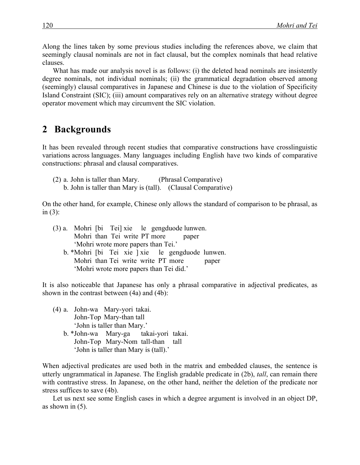Along the lines taken by some previous studies including the references above, we claim that seemingly clausal nominals are not in fact clausal, but the complex nominals that head relative clauses.

What has made our analysis novel is as follows: (i) the deleted head nominals are insistently degree nominals, not individual nominals; (ii) the grammatical degradation observed among (seemingly) clausal comparatives in Japanese and Chinese is due to the violation of Specificity Island Constraint (SIC); (iii) amount comparatives rely on an alternative strategy without degree operator movement which may circumvent the SIC violation.

### 2 Backgrounds

It has been revealed through recent studies that comparative constructions have crosslinguistic variations across languages. Many languages including English have two kinds of comparative constructions: phrasal and clausal comparatives.

(2) a. John is taller than Mary. (Phrasal Comparative) b. John is taller than Mary is (tall). (Clausal Comparative)

On the other hand, for example, Chinese only allows the standard of comparison to be phrasal, as in  $(3)$ :

|                                         |                                    |  |  |  |  |  |  | (3) a. Mohri [bi Tei] xie le gengduode lunwen.   |       |
|-----------------------------------------|------------------------------------|--|--|--|--|--|--|--------------------------------------------------|-------|
|                                         | Mohri than Tei write PT more       |  |  |  |  |  |  | paper                                            |       |
| 'Mohri wrote more papers than Tei.'     |                                    |  |  |  |  |  |  |                                                  |       |
|                                         |                                    |  |  |  |  |  |  | b. *Mohri [bi Tei xie ] xie le gengduode lunwen. |       |
|                                         | Mohri than Tei write write PT more |  |  |  |  |  |  |                                                  | paper |
| 'Mohri wrote more papers than Tei did.' |                                    |  |  |  |  |  |  |                                                  |       |

It is also noticeable that Japanese has only a phrasal comparative in adjectival predicates, as shown in the contrast between (4a) and (4b):

- (4) a. John-wa Mary-yori takai. John-Top Mary-than tall 'John is taller than Mary.' b. \*John-wa Mary-ga takai-yori takai. John-Top Mary-Nom tall-than tall
	- 'John is taller than Mary is (tall).'

When adjectival predicates are used both in the matrix and embedded clauses, the sentence is utterly ungrammatical in Japanese. The English gradable predicate in (2b), *tall*, can remain there with contrastive stress. In Japanese, on the other hand, neither the deletion of the predicate nor stress suffices to save (4b).

Let us next see some English cases in which a degree argument is involved in an object DP, as shown in  $(5)$ .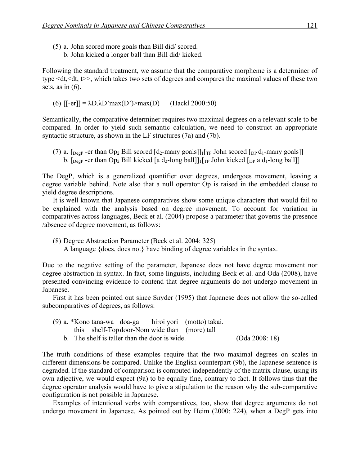- (5) a. John scored more goals than Bill did/ scored.
	- b. John kicked a longer ball than Bill did/ kicked.

Following the standard treatment, we assume that the comparative morpheme is a determiner of type  $\leq dt \leq dt$ ,  $\gg$ , which takes two sets of degrees and compares the maximal values of these two sets, as in  $(6)$ .

(6)  $[-er]] = \lambda D \cdot \lambda D' \cdot \max(D') > \max(D)$  (Hackl 2000:50)

Semantically, the comparative determiner requires two maximal degrees on a relevant scale to be compared. In order to yield such semantic calculation, we need to construct an appropriate syntactic structure, as shown in the LF structures (7a) and (7b).

(7) a.  $\lceil \log P \rceil$ -er than Op<sub>2</sub> Bill scored  $\lceil d_2$ -many goals]]<sub>1</sub> $\lceil \log J \rceil$  John scored  $\lceil \log d_1$ -many goals]] b.  $\lceil \log P \rceil$  -er than Op<sub>2</sub> Bill kicked  $\lceil a \, d_2$ -long ball] $\lceil \ln \rceil$  John kicked  $\lceil \log a \, d_1$ -long ball]]

The DegP, which is a generalized quantifier over degrees, undergoes movement, leaving a degree variable behind. Note also that a null operator Op is raised in the embedded clause to yield degree descriptions.

It is well known that Japanese comparatives show some unique characters that would fail to be explained with the analysis based on degree movement. To account for variation in comparatives across languages, Beck et al. (2004) propose a parameter that governs the presence /absence of degree movement, as follows:

- (8) Degree Abstraction Parameter (Beck et al. 2004: 325)
	- A language {does, does not} have binding of degree variables in the syntax.

Due to the negative setting of the parameter, Japanese does not have degree movement nor degree abstraction in syntax. In fact, some linguists, including Beck et al. and Oda (2008), have presented convincing evidence to contend that degree arguments do not undergo movement in Japanese.

First it has been pointed out since Snyder (1995) that Japanese does not allow the so-called subcomparatives of degrees, as follows:

- (9) a. \*Kono tana-wa doa-ga hiroi yori (motto) takai. this shelf-Topdoor-Nom wide than (more) tall
	- b. The shelf is taller than the door is wide. (Oda 2008: 18)

The truth conditions of these examples require that the two maximal degrees on scales in different dimensions be compared. Unlike the English counterpart (9b), the Japanese sentence is degraded. If the standard of comparison is computed independently of the matrix clause, using its own adjective, we would expect (9a) to be equally fine, contrary to fact. It follows thus that the degree operator analysis would have to give a stipulation to the reason why the sub-comparative configuration is not possible in Japanese.

Examples of intentional verbs with comparatives, too, show that degree arguments do not undergo movement in Japanese. As pointed out by Heim (2000: 224), when a DegP gets into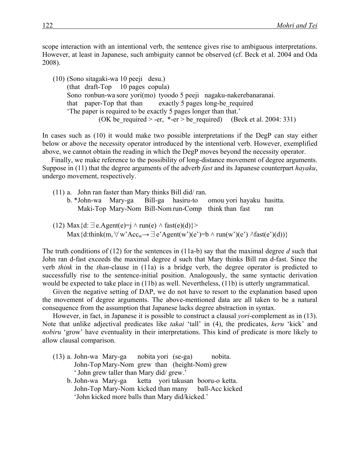scope interaction with an intentional verb, the sentence gives rise to ambiguous interpretations. However, at least in Japanese, such ambiguity cannot be observed (cf. Beck et al. 2004 and Oda 2008).

(10) (Sono sitagaki-wa 10 peeji desu.) (that draft-Top 10 pages copula) Sono ronbun-wa sore yori(mo) tyoodo 5 peeji nagaku-nakerebanaranai. that paper-Top that than exactly 5 pages long-be\_required 'The paper is required to be exactly 5 pages longer than that.' (OK be required  $> -er$ ,  $*-er$  > be required) (Beck et al. 2004: 331)

In cases such as (10) it would make two possible interpretations if the DegP can stay either below or above the necessity operator introduced by the intentional verb. However, exemplified above, we cannot obtain the reading in which the DegP moves beyond the necessity operator.

Finally, we make reference to the possibility of long-distance movement of degree arguments. Suppose in (11) that the degree arguments of the adverb *fast* and its Japanese counterpart *hayaku*, undergo movement, respectively.

- (11) a. John ran faster than Mary thinks Bill did/ ran. b. \*John-wa Mary-ga Bill-ga hasiru-to omou yori hayaku hasitta. Maki-Top Mary-Nom Bill-Nom run-Comp think than fast ran
- (12) Max ${d: \exists e.Agent(e)=j \land run(e) \land fast(e)(d)}$ Max{d:think(m,  $\forall$  w'Acc<sub>w</sub>→ $\exists$  e'Agent(w')(e')=b  $\land$  run(w')(e')  $\land$  fast(e')(d))}

The truth conditions of (12) for the sentences in (11a-b) say that the maximal degree *d* such that John ran d-fast exceeds the maximal degree d such that Mary thinks Bill ran d-fast. Since the verb *think* in the *than*-clause in (11a) is a bridge verb, the degree operator is predicted to successfully rise to the sentence-initial position. Analogously, the same syntactic derivation would be expected to take place in (11b) as well. Nevertheless, (11b) is utterly ungrammatical.

Given the negative setting of DAP, we do not have to resort to the explanation based upon the movement of degree arguments. The above-mentioned data are all taken to be a natural consequence from the assumption that Japanese lacks degree abstraction in syntax.

However, in fact, in Japanese it is possible to construct a clausal *yori*-complement as in (13). Note that unlike adjectival predicates like *takai* 'tall' in (4), the predicates, *keru* 'kick' and *nobiru* 'grow' have eventuality in their interpretations. This kind of predicate is more likely to allow clausal comparison.

- (13) a. John-wa Mary-ga nobita yori (se-ga) nobita. John-Top Mary-Nom grew than (height-Nom) grew 'John grew taller than Mary did/ grew.'
	- b. John-wa Mary-ga ketta yori takusan booru-o ketta. John-Top Mary-Nom kicked than many ball-Acc kicked 'John kicked more balls than Mary did/kicked.'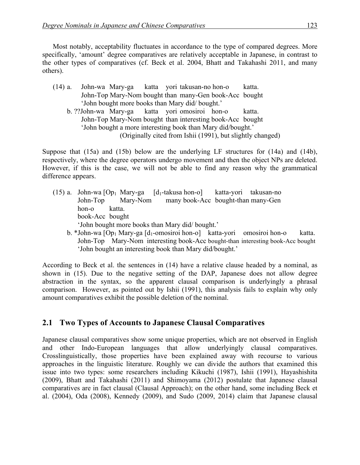Most notably, acceptability fluctuates in accordance to the type of compared degrees. More specifically, 'amount' degree comparatives are relatively acceptable in Japanese, in contrast to the other types of comparatives (cf. Beck et al. 2004, Bhatt and Takahashi 2011, and many others).

- (14) a. John-wa Mary-ga katta yori takusan-no hon-o katta. John-Top Mary-Nom bought than many-Gen book-Acc bought 'John bought more books than Mary did/ bought.'
	- b. ??John-wa Mary-ga katta yori omosiroi hon-o katta. John-Top Mary-Nom bought than interesting book-Acc bought 'John bought a more interesting book than Mary did/bought.' (Originally cited from Ishii (1991), but slightly changed)

Suppose that (15a) and (15b) below are the underlying LF structures for (14a) and (14b), respectively, where the degree operators undergo movement and then the object NPs are deleted. However, if this is the case, we will not be able to find any reason why the grammatical difference appears.

- (15) a. John-wa  $[Op_1$  Mary-ga  $[d_1$ -takusa hon-o] katta-yori takusan-no John-Top Mary-Nom many book-Acc bought-than many-Gen hon-o katta. book-Acc bought 'John bought more books than Mary did/ bought.'
	- b. \*John-wa [Op<sub>1</sub> Mary-ga [d<sub>1</sub>-omosiroi hon-o] katta-yori omosiroi hon-o katta. John-Top Mary-Nom interesting book-Acc bought-than interesting book-Acc bought 'John bought an interesting book than Mary did/bought.'

According to Beck et al. the sentences in (14) have a relative clause headed by a nominal, as shown in (15). Due to the negative setting of the DAP, Japanese does not allow degree abstraction in the syntax, so the apparent clausal comparison is underlyingly a phrasal comparison. However, as pointed out by Ishii (1991), this analysis fails to explain why only amount comparatives exhibit the possible deletion of the nominal.

### **2.1 Two Types of Accounts to Japanese Clausal Comparatives**

Japanese clausal comparatives show some unique properties, which are not observed in English and other Indo-European languages that allow underlyingly clausal comparatives. Crosslinguistically, those properties have been explained away with recourse to various approaches in the linguistic literature. Roughly we can divide the authors that examined this issue into two types: some researchers including Kikuchi (1987), Ishii (1991), Hayashishita (2009), Bhatt and Takahashi (2011) and Shimoyama (2012) postulate that Japanese clausal comparatives are in fact clausal (Clausal Approach); on the other hand, some including Beck et al. (2004), Oda (2008), Kennedy (2009), and Sudo (2009, 2014) claim that Japanese clausal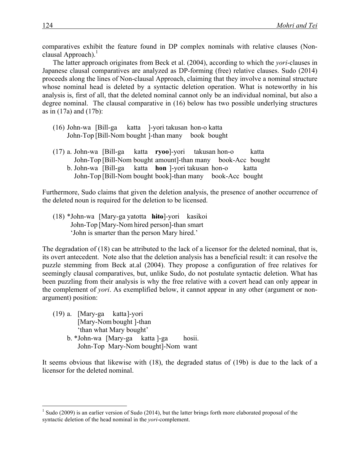comparatives exhibit the feature found in DP complex nominals with relative clauses (Nonclausal Approach). $<sup>1</sup>$ </sup>

The latter approach originates from Beck et al. (2004), according to which the *yori*-clauses in Japanese clausal comparatives are analyzed as DP-forming (free) relative clauses. Sudo (2014) proceeds along the lines of Non-clausal Approach, claiming that they involve a nominal structure whose nominal head is deleted by a syntactic deletion operation. What is noteworthy in his analysis is, first of all, that the deleted nominal cannot only be an individual nominal, but also a degree nominal. The clausal comparative in (16) below has two possible underlying structures as in (17a) and (17b):

- (16) John-wa [Bill-ga katta ]-yori takusan hon-o katta John-Top [Bill-Nom bought ]-than many book bought
- (17) a. John-wa [Bill-ga katta **ryoo**]-yori takusan hon-o katta John-Top [Bill-Nom bought amount]-than many book-Acc bought b. John-wa [Bill-ga katta **hon** ]-yori takusan hon-o katta John-Top [Bill-Nom bought book]-than many book-Acc bought

Furthermore, Sudo claims that given the deletion analysis, the presence of another occurrence of the deleted noun is required for the deletion to be licensed.

(18) \*John-wa [Mary-ga yatotta **hito**]-yori kasikoi John-Top [Mary-Nom hired person]-than smart 'John is smarter than the person Mary hired.'

The degradation of (18) can be attributed to the lack of a licensor for the deleted nominal, that is, its overt antecedent. Note also that the deletion analysis has a beneficial result: it can resolve the puzzle stemming from Beck at.al (2004). They propose a configuration of free relatives for seemingly clausal comparatives, but, unlike Sudo, do not postulate syntactic deletion. What has been puzzling from their analysis is why the free relative with a covert head can only appear in the complement of *yori*. As exemplified below, it cannot appear in any other (argument or nonargument) position:

- (19) a. [Mary-ga katta]-yori [Mary-Nom bought ]-than 'than what Mary bought'
	- b. \*John-wa [Mary-ga katta ]-ga hosii. John-Top Mary-Nom bought]-Nom want

It seems obvious that likewise with (18), the degraded status of (19b) is due to the lack of a licensor for the deleted nominal.

 $1$  Sudo (2009) is an earlier version of Sudo (2014), but the latter brings forth more elaborated proposal of the syntactic deletion of the head nominal in the *yori*-complement.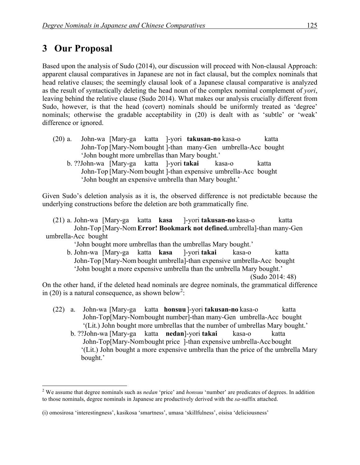## **3** Our Proposal

Based upon the analysis of Sudo (2014), our discussion will proceed with Non-clausal Approach: apparent clausal comparatives in Japanese are not in fact clausal, but the complex nominals that head relative clauses; the seemingly clausal look of a Japanese clausal comparative is analyzed as the result of syntactically deleting the head noun of the complex nominal complement of *yori*, leaving behind the relative clause (Sudo 2014). What makes our analysis crucially different from Sudo, however, is that the head (covert) nominals should be uniformly treated as 'degree' nominals; otherwise the gradable acceptability in (20) is dealt with as 'subtle' or 'weak' difference or ignored.

- (20) a. John-wa [Mary-ga katta ]-yori **takusan-no** kasa-o katta John-Top [Mary-Nom bought ]-than many-Gen umbrella-Acc bought 'John bought more umbrellas than Mary bought.'
	- b. ??John-wa [Mary-ga katta ]-yori **takai** kasa-o katta John-Top [Mary-Nom bought ]-than expensive umbrella-Acc bought 'John bought an expensive umbrella than Mary bought.'

Given Sudo's deletion analysis as it is, the observed difference is not predictable because the underlying constructions before the deletion are both grammatically fine.

(21) a. John-wa [Mary-ga katta **kasa** ]-yori **takusan-no** kasa-o katta John-Top [Mary-Nom **Error! Bookmark not defined.**umbrella]-than many-Gen umbrella-Acc bought

'John bought more umbrellas than the umbrellas Mary bought.'

b. John-wa [Mary-ga katta **kasa** ]-yori **takai** kasa-o katta John-Top [Mary-Nom bought umbrella]-than expensive umbrella-Acc bought 'John bought a more expensive umbrella than the umbrella Mary bought.' (Sudo 2014: 48)

On the other hand, if the deleted head nominals are degree nominals, the grammatical difference in (20) is a natural consequence, as shown below<sup>2</sup>:

- (22) a. John-wa [Mary-ga katta **honsuu**]-yori **takusan-no** kasa-o katta John-Top[Mary-Nombought number]-than many-Gen umbrella-Acc bought '(Lit.) John bought more umbrellas that the number of umbrellas Mary bought.'
	- b. ??John-wa [Mary-ga katta **nedan**]-yori **takai** kasa-o katta John-Top[Mary-Nombought price ]-than expensive umbrella-Accbought '(Lit.) John bought a more expensive umbrella than the price of the umbrella Mary bought.'

 <sup>2</sup> We assume that degree nominals such as *nedan* 'price' and *honsuu* 'number' are predicates of degrees. In addition to those nominals, degree nominals in Japanese are productively derived with the *sa*-suffix attached.

<sup>(</sup>i) omosirosa 'interestingness', kasikosa 'smartness', umasa 'skillfulness', oisisa 'deliciousness'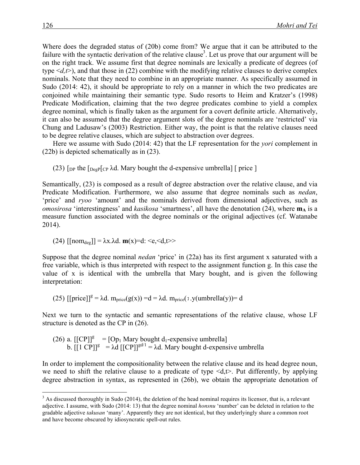Where does the degraded status of (20b) come from? We argue that it can be attributed to the failure with the syntactic derivation of the relative clause<sup>3</sup>. Let us prove that our argument will be on the right track. We assume first that degree nominals are lexically a predicate of degrees (of type  $\le d$ ,  $t$ ), and that those in (22) combine with the modifying relative clauses to derive complex nominals. Note that they need to combine in an appropriate manner. As specifically assumed in Sudo (2014: 42), it should be appropriate to rely on a manner in which the two predicates are conjoined while maintaining their semantic type. Sudo resorts to Heim and Kratzer's (1998) Predicate Modification, claiming that the two degree predicates combine to yield a complex degree nominal, which is finally taken as the argument for a covert definite article. Alternatively, it can also be assumed that the degree argument slots of the degree nominals are 'restricted' via Chung and Ladusaw's (2003) Restriction. Either way, the point is that the relative clauses need to be degree relative clauses, which are subject to abstraction over degrees.

Here we assume with Sudo (2014: 42) that the LF representation for the *yori* complement in (22b) is depicted schematically as in (23).

(23)  $\lceil \frac{D}{2} \rceil$  [DegP $\lceil \frac{C}{2} \rceil$  and  $\lceil \frac{D}{2} \rceil$  and  $\lceil \frac{D}{2} \rceil$  and  $\lceil \frac{D}{2} \rceil$  and  $\lceil \frac{D}{2} \rceil$  and  $\lceil \frac{D}{2} \rceil$  and  $\lceil \frac{D}{2} \rceil$  and  $\lceil \frac{D}{2} \rceil$  and  $\lceil \frac{D}{2} \rceil$  and  $\lceil \frac{D}{2} \rceil$ 

Semantically, (23) is composed as a result of degree abstraction over the relative clause, and via Predicate Modification. Furthermore, we also assume that degree nominals such as *nedan*, 'price' and *ryoo* 'amount' and the nominals derived from dimensional adjectives, such as *omosirosa* 'interestingness' and *kasikosa* 'smartness', all have the denotation (24), where  $m_A$  is a measure function associated with the degree nominals or the original adjectives (cf. Watanabe 2014).

(24) [[nom<sub>deg</sub>]] = 
$$
\lambda x. \lambda d
$$
. **m**(x)=d:  $\leq e, \leq d, t \geq 1$ 

Suppose that the degree nominal *nedan* 'price' in (22a) has its first argument x saturated with a free variable, which is thus interpreted with respect to the assignment function g. In this case the value of x is identical with the umbrella that Mary bought, and is given the following interpretation:

(25)  $[|price]|^g = \lambda d$ .  $m_{price}(g(x)) = d = \lambda d$ .  $m_{price}(\lambda y(umbrella(y))) = d$ 

Next we turn to the syntactic and semantic representations of the relative clause, whose LF structure is denoted as the CP in (26).

(26) a. 
$$
[[CP]]^g = [Op_1 \text{ Mary bought } d_1\text{-expensive umbrella}]
$$
 b.  $[[1 \text{ CP}]]^g = \lambda d \, [[CP]]^{gd/1} = \lambda d$ . Mary bought d-expensive umbrella

In order to implement the compositionality between the relative clause and its head degree noun, we need to shift the relative clause to a predicate of type  $\langle d, t \rangle$ . Put differently, by applying degree abstraction in syntax, as represented in (26b), we obtain the appropriate denotation of

 $3$  As discussed thoroughly in Sudo (2014), the deletion of the head nominal requires its licensor, that is, a relevant adjective. I assume, with Sudo (2014: 13) that the degree nominal *honsnu* 'number' can be deleted in relation to the gradable adjective *takusan* 'many'. Apparently they are not identical, but they underlyingly share a common root and have become obscured by idiosyncratic spell-out rules.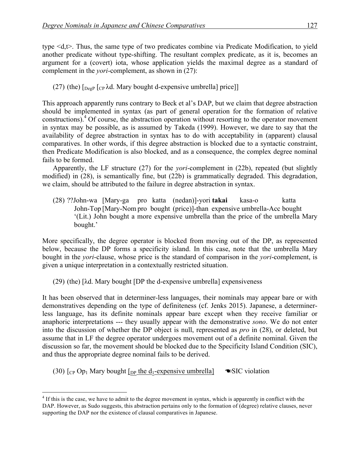type <d,t>. Thus, the same type of two predicates combine via Predicate Modification, to yield another predicate without type-shifting. The resultant complex predicate, as it is, becomes an argument for a (covert) iota, whose application yields the maximal degree as a standard of complement in the *yori*-complement, as shown in (27):

(27) (the)  $\lceil \log P \rceil$  ( $\lceil \log P \rceil$  and  $\lceil \log P \rceil$  d-expensive umbrella price)

This approach apparently runs contrary to Beck et al's DAP, but we claim that degree abstraction should be implemented in syntax (as part of general operation for the formation of relative constructions).<sup>4</sup> Of course, the abstraction operation without resorting to the operator movement in syntax may be possible, as is assumed by Takeda (1999). However, we dare to say that the availability of degree abstraction in syntax has to do with acceptability in (apparent) clausal comparatives. In other words, if this degree abstraction is blocked due to a syntactic constraint, then Predicate Modification is also blocked, and as a consequence, the complex degree nominal fails to be formed.

Apparently, the LF structure (27) for the *yori*-complement in (22b), repeated (but slightly modified) in (28), is semantically fine, but (22b) is grammatically degraded. This degradation, we claim, should be attributed to the failure in degree abstraction in syntax.

(28) ??John-wa [Mary-ga pro katta (nedan)]-yori **takai** kasa-o katta John-Top [Mary-Nom pro bought (price)]-than expensive umbrella-Acc bought '(Lit.) John bought a more expensive umbrella than the price of the umbrella Mary bought.'

More specifically, the degree operator is blocked from moving out of the DP, as represented below, because the DP forms a specificity island. In this case, note that the umbrella Mary bought in the *yori*-clause, whose price is the standard of comparison in the *yori*-complement, is given a unique interpretation in a contextually restricted situation.

(29) (the) [λd. Mary bought [DP the d-expensive umbrella] expensiveness

It has been observed that in determiner-less languages, their nominals may appear bare or with demonstratives depending on the type of definiteness (cf. Jenks 2015). Japanese, a determinerless language, has its definite nominals appear bare except when they receive familiar or anaphoric interpretations --- they usually appear with the demonstrative *sono*. We do not enter into the discussion of whether the DP object is null, represented as *pro* in (28), or deleted, but assume that in LF the degree operator undergoes movement out of a definite nominal. Given the discussion so far, the movement should be blocked due to the Specificity Island Condition (SIC), and thus the appropriate degree nominal fails to be derived.

(30)  $\lceil_{CP}$  Op<sub>1</sub> Mary bought  $\lceil_{DP}$  the d<sub>1</sub>-expensive umbrella  $\blacksquare$  SIC violation

 $4$  If this is the case, we have to admit to the degree movement in syntax, which is apparently in conflict with the DAP. However, as Sudo suggests, this abstraction pertains only to the formation of (degree) relative clauses, never supporting the DAP nor the existence of clausal comparatives in Japanese.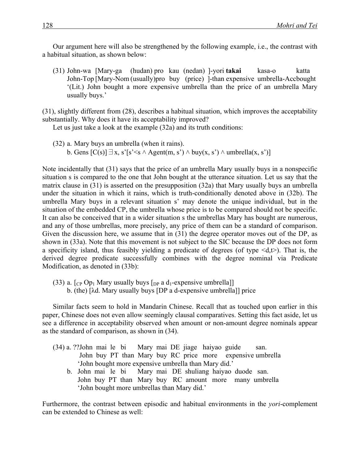Our argument here will also be strengthened by the following example, i.e., the contrast with a habitual situation, as shown below:

(31) John-wa [Mary-ga (hudan) pro kau (nedan) ]-yori **takai** kasa-o katta John-Top [Mary-Nom (usually)pro buy (price) ]-than expensive umbrella-Accbought '(Lit.) John bought a more expensive umbrella than the price of an umbrella Mary usually buys.'

(31), slightly different from (28), describes a habitual situation, which improves the acceptability substantially. Why does it have its acceptability improved?

Let us just take a look at the example (32a) and its truth conditions:

(32) a. Mary buys an umbrella (when it rains). b. Gens  $[C(s)] \exists x, s' [s' \le s \land \text{Agent}(m, s') \land \text{buy}(x, s') \land \text{umbrella}(x, s')]$ 

Note incidentally that (31) says that the price of an umbrella Mary usually buys in a nonspecific situation s is compared to the one that John bought at the utterance situation. Let us say that the matrix clause in (31) is asserted on the presupposition (32a) that Mary usually buys an umbrella under the situation in which it rains, which is truth-conditionally denoted above in (32b). The umbrella Mary buys in a relevant situation s' may denote the unique individual, but in the situation of the embedded CP, the umbrella whose price is to be compared should not be specific. It can also be conceived that in a wider situation s the umbrellas Mary has bought are numerous, and any of those umbrellas, more precisely, any price of them can be a standard of comparison. Given the discussion here, we assume that in (31) the degree operator moves out of the DP, as shown in (33a). Note that this movement is not subject to the SIC because the DP does not form a specificity island, thus feasibly yielding a predicate of degrees (of type  $\le d, t$ ). That is, the derived degree predicate successfully combines with the degree nominal via Predicate Modification, as denoted in (33b):

(33) a.  $\lceil \frac{C_P}{O_p} \rceil$  Mary usually buys  $\lceil \frac{D_P}{O_p} \rceil$  a d<sub>1</sub>-expensive umbrella b. (the) [λd. Mary usually buys [DP a d-expensive umbrella]] price

Similar facts seem to hold in Mandarin Chinese. Recall that as touched upon earlier in this paper, Chinese does not even allow seemingly clausal comparatives. Setting this fact aside, let us see a difference in acceptability observed when amount or non-amount degree nominals appear as the standard of comparison, as shown in (34).

- (34) a. ??John mai le bi Mary mai DE jiage haiyao guide san. John buy PT than Mary buy RC price more expensive umbrella 'John bought more expensive umbrella than Mary did.'
	- b. John mai le bi Mary mai DE shuliang haiyao duode san. John buy PT than Mary buy RC amount more many umbrella 'John bought more umbrellas than Mary did.'

Furthermore, the contrast between episodic and habitual environments in the *yori*-complement can be extended to Chinese as well: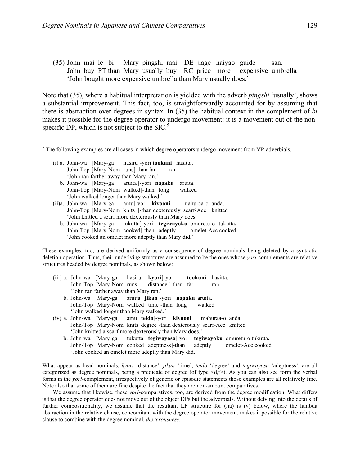(35) John mai le bi Mary pingshi mai DE jiage haiyao guide san. John buy PT than Mary usually buy RC price more expensive umbrella 'John bought more expensive umbrella than Mary usually does.'

Note that (35), where a habitual interpretation is yielded with the adverb *pingshi* 'usually', shows a substantial improvement. This fact, too, is straightforwardly accounted for by assuming that there is abstraction over degrees in syntax. In (35) the habitual context in the complement of *bi* makes it possible for the degree operator to undergo movement: it is a movement out of the nonspecific DP, which is not subject to the  $SIC$ <sup>5</sup>

- (i) a. John-wa [Mary-ga hasiru]-yori **tookuni** hasitta. John-Top [Mary-Nom runs]-than far ran 'John ran farther away than Mary ran.'
	- b. John-wa [Mary-ga aruita ]-yori **nagaku** aruita. John-Top [Mary-Nom walked]-than long walked 'John walked longer than Mary walked.'
- (ii)a. John-wa [Mary-ga amu]-yori **kiyooni** mahuraa-o anda. John-Top [Mary-Nom knits ]-than dexterously scarf-Acc knitted 'John knitted a scarf more dexterously than Mary does.'
	- b. John-wa [Mary-ga tukutta]-yori **tegiwayoku** omuretu-o tukutta**.** John-Top [Mary-Nom cooked]-than adeptly omelet-Acc cooked 'John cooked an omelet more adeptly than Mary did.'

These examples, too, are derived uniformly as a consequence of degree nominals being deleted by a syntactic deletion operation. Thus, their underlying structures are assumed to be the ones whose *yori*-complements are relative structures headed by degree nominals, as shown below:

- (iii) a. John-wa [Mary-ga hasiru **kyori**]-yori **tookuni** hasitta. John-Top [Mary-Nom runs distance ]-than far ran 'John ran farther away than Mary ran.'
	- b. John-wa [Mary-ga aruita **jikan**]-yori **nagaku** aruita. John-Top [Mary-Nom walked time]-than long walked 'John walked longer than Mary walked.'
- (iv) a. John-wa [Mary-ga amu **teido**]-yori **kiyooni** mahuraa-o anda. John-Top [Mary-Nom knits degree]-than dexterously scarf-Acc knitted 'John knitted a scarf more dexterously than Mary does.'
	- b. John-wa [Mary-ga tukutta **tegiwayosa**]-yori **tegiwayoku** omuretu-o tukutta**.** John-Top [Mary-Nom cooked adeptness]-than adeptly omelet-Acc cooked 'John cooked an omelet more adeptly than Mary did.'

What appear as head nominals, *kyori* 'distance', *jikan* 'time', *teido* 'degree' and *tegiwayosa* 'adeptness', are all categorized as degree nominals, being a predicate of degree (of type  $\langle d, t \rangle$ ). As you can also see form the verbal forms in the *yori*-complement, irrespectively of generic or episodic statements those examples are all relatively fine. Note also that some of them are fine despite the fact that they are non-amount comparatives.

We assume that likewise, these *yori*-comparatives, too, are derived from the degree modification. What differs is that the degree operator does not move out of the object DPs but the adverbials. Without delving into the details of further compositionality, we assume that the resultant LF structure for (iia) is (v) below, where the lambda abstraction in the relative clause, concomitant with the degree operator movement, makes it possible for the relative clause to combine with the degree nominal, *dexterousness*.

<sup>&</sup>lt;sup>5</sup> The following examples are all cases in which degree operators undergo movement from VP-adverbials.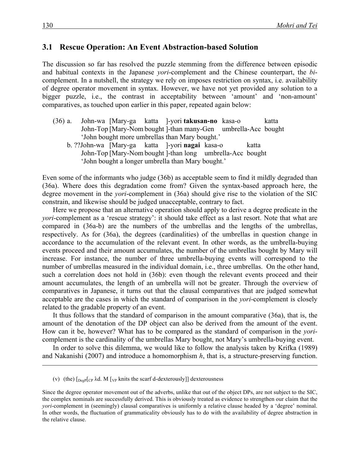#### **3.1 Rescue Operation: An Event Abstraction-based Solution**

The discussion so far has resolved the puzzle stemming from the difference between episodic and habitual contexts in the Japanese *yori*-complement and the Chinese counterpart, the *bi*complement. In a nutshell, the strategy we rely on imposes restriction on syntax, i.e. availability of degree operator movement in syntax. However, we have not yet provided any solution to a bigger puzzle, i.e., the contrast in acceptability between 'amount' and 'non-amount' comparatives, as touched upon earlier in this paper, repeated again below:

- (36) a. John-wa [Mary-ga katta ]-yori **takusan-no** kasa-o katta John-Top [Mary-Nom bought ]-than many-Gen umbrella-Acc bought 'John bought more umbrellas than Mary bought.'
	- b. ??John-wa [Mary-ga katta ]-yori **nagai** kasa-o katta John-Top [Mary-Nom bought ]-than long umbrella-Acc bought 'John bought a longer umbrella than Mary bought.'

Even some of the informants who judge (36b) as acceptable seem to find it mildly degraded than (36a). Where does this degradation come from? Given the syntax-based approach here, the degree movement in the *yori*-complement in (36a) should give rise to the violation of the SIC constrain, and likewise should be judged unacceptable, contrary to fact.

Here we propose that an alternative operation should apply to derive a degree predicate in the *yori*-complement as a 'rescue strategy': it should take effect as a last resort. Note that what are compared in (36a-b) are the numbers of the umbrellas and the lengths of the umbrellas, respectively. As for (36a), the degrees (cardinalities) of the umbrellas in question change in accordance to the accumulation of the relevant event. In other words, as the umbrella-buying events proceed and their amount accumulates, the number of the umbrellas bought by Mary will increase. For instance, the number of three umbrella-buying events will correspond to the number of umbrellas measured in the individual domain, i.e., three umbrellas. On the other hand, such a correlation does not hold in (36b): even though the relevant events proceed and their amount accumulates, the length of an umbrella will not be greater. Through the overview of comparatives in Japanese, it turns out that the clausal comparatives that are judged somewhat acceptable are the cases in which the standard of comparison in the *yori*-complement is closely related to the gradable property of an event.

It thus follows that the standard of comparison in the amount comparative (36a), that is, the amount of the denotation of the DP object can also be derived from the amount of the event. How can it be, however? What has to be compared as the standard of comparison in the *yori*complement is the cardinality of the umbrellas Mary bought, not Mary's umbrella-buying event.

In order to solve this dilemma, we would like to follow the analysis taken by Krifka (1989) and Nakanishi (2007) and introduce a homomorphism *h*, that is, a structure-preserving function.

 $\overline{a}$ 

<sup>(</sup>v) (the)  $\lbrack_{\text{DegP}}\lbrack_{\text{CP}}$   $\lambda$ d. M  $\lbrack_{\text{VP}}$  knits the scarf d-dexterously]] dexterousness

Since the degree operator movement out of the adverbs, unlike that out of the object DPs, are not subject to the SIC, the complex nominals are successfully derived. This is obviously treated as evidence to strengthen our claim that the *yori*-complement in (seemingly) clausal comparatives is uniformly a relative clause headed by a 'degree' nominal. In other words, the fluctuation of grammaticality obviously has to do with the availability of degree abstraction in the relative clause.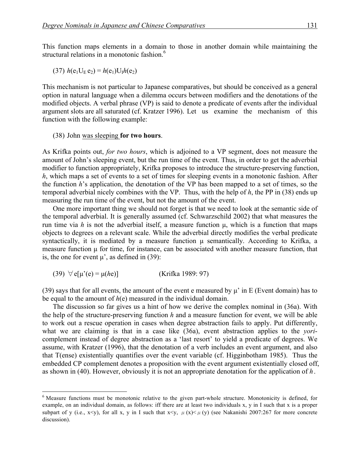This function maps elements in a domain to those in another domain while maintaining the structural relations in a monotonic fashion.<sup>6</sup>

(37) 
$$
h(e_1U_E e_2) = h(e_1)U_I h(e_2)
$$

This mechanism is not particular to Japanese comparatives, but should be conceived as a general option in natural language when a dilemma occurs between modifiers and the denotations of the modified objects. A verbal phrase (VP) is said to denote a predicate of events after the individual argument slots are all saturated (cf. Kratzer 1996). Let us examine the mechanism of this function with the following example:

#### (38) John was sleeping **for two hours**.

As Krifka points out, *for two hours*, which is adjoined to a VP segment, does not measure the amount of John's sleeping event, but the run time of the event. Thus, in order to get the adverbial modifier to function appropriately, Krifka proposes to introduce the structure-preserving function, *h*, which maps a set of events to a set of times for sleeping events in a monotonic fashion. After the function *h*'s application, the denotation of the VP has been mapped to a set of times, so the temporal adverbial nicely combines with the VP. Thus, with the help of *h*, the PP in (38) ends up measuring the run time of the event, but not the amount of the event.

One more important thing we should not forget is that we need to look at the semantic side of the temporal adverbial. It is generally assumed (cf. Schwarzschild 2002) that what measures the run time via *h* is not the adverbial itself, a measure function µ, which is a function that maps objects to degrees on a relevant scale. While the adverbial directly modifies the verbal predicate syntactically, it is mediated by a measure function  $\mu$  semantically. According to Krifka, a measure function  $\mu$  for time, for instance, can be associated with another measure function, that is, the one for event  $\mu$ ', as defined in (39):

(39) 
$$
\forall
$$
 e[ $\mu$ '(e) =  $\mu$ ( $he$ )] (Krifka 1989: 97)

(39) says that for all events, the amount of the event e measured by  $\mu$ ' in E (Event domain) has to be equal to the amount of *h*(e) measured in the individual domain.

The discussion so far gives us a hint of how we derive the complex nominal in (36a). With the help of the structure-preserving function *h* and a measure function for event, we will be able to work out a rescue operation in cases when degree abstraction fails to apply. Put differently, what we are claiming is that in a case like (36a), event abstraction applies to the *yori*complement instead of degree abstraction as a 'last resort' to yield a predicate of degrees. We assume, with Kratzer (1996), that the denotation of a verb includes an event argument, and also that T(ense) existentially quantifies over the event variable (cf. Higginbotham 1985). Thus the embedded CP complement denotes a proposition with the event argument existentially closed off, as shown in (40). However, obviously it is not an appropriate denotation for the application of *h*.

<sup>&</sup>lt;sup>6</sup> Measure functions must be monotonic relative to the given part-whole structure. Monotonicity is defined, for example, on an individual domain, as follows: iff there are at least two individuals x, y in I such that x is a proper subpart of y (i.e., x<y), for all x, y in I such that  $x \le y$ ,  $\mu(x) \le \mu(y)$  (see Nakanishi 2007:267 for more concrete discussion).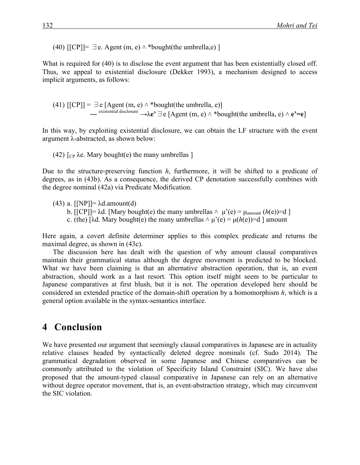(40)  $\text{[[CP]]=}\exists$  e. Agent (m, e)  $\land$  \*bought(the umbrella,e) ]

What is required for (40) is to disclose the event argument that has been existentially closed off. Thus, we appeal to existential disclosure (Dekker 1993), a mechanism designed to access implicit arguments, as follows:

(41)  $\text{[[CP]]} = \exists e \text{[Agent (m, e)} \land * \text{bought(the umbrella, e)}$ — existential disclosure →λ $e^{\bullet}$   $\exists$   $e$  [Agent (m, e)  $\land$  \*bought(the umbrella, e)  $\land$   $e^{\bullet}$ = $e$ ]

In this way, by exploiting existential disclosure, we can obtain the LF structure with the event argument λ-abstracted, as shown below:

```
(42) \lceil C<sub>P</sub> \lambdae. Mary bought(e) the many umbrellas \lceil
```
Due to the structure-preserving function *h*, furthermore, it will be shifted to a predicate of degrees, as in (43b). As a consequence, the derived CP denotation successfully combines with the degree nominal (42a) via Predicate Modification.

(43) a.  $\text{[NP]} = \lambda \text{d.amount(d)}$ 

b.  $\overline{[CP]}$  =  $\lambda$ d. [Mary bought(e) the many umbrellas  $\wedge \mu$ '(e) =  $\mu_{\text{amount}}(h(e))$  = d ] c. (the)  $[\lambda d]$ . Mary bought(e) the many umbrellas  $\wedge \mu$ '(e) =  $\mu(h(e))$  = d amount

Here again, a covert definite determiner applies to this complex predicate and returns the maximal degree, as shown in (43c).

The discussion here has dealt with the question of why amount clausal comparatives maintain their grammatical status although the degree movement is predicted to be blocked. What we have been claiming is that an alternative abstraction operation, that is, an event abstraction, should work as a last resort. This option itself might seem to be particular to Japanese comparatives at first blush, but it is not. The operation developed here should be considered an extended practice of the domain-shift operation by a homomorphism *h*, which is a general option available in the syntax-semantics interface.

## 4 **Conclusion**

We have presented our argument that seemingly clausal comparatives in Japanese are in actuality relative clauses headed by syntactically deleted degree nominals (cf. Sudo 2014). The grammatical degradation observed in some Japanese and Chinese comparatives can be commonly attributed to the violation of Specificity Island Constraint (SIC). We have also proposed that the amount-typed clausal comparative in Japanese can rely on an alternative without degree operator movement, that is, an event-abstraction strategy, which may circumvent the SIC violation.